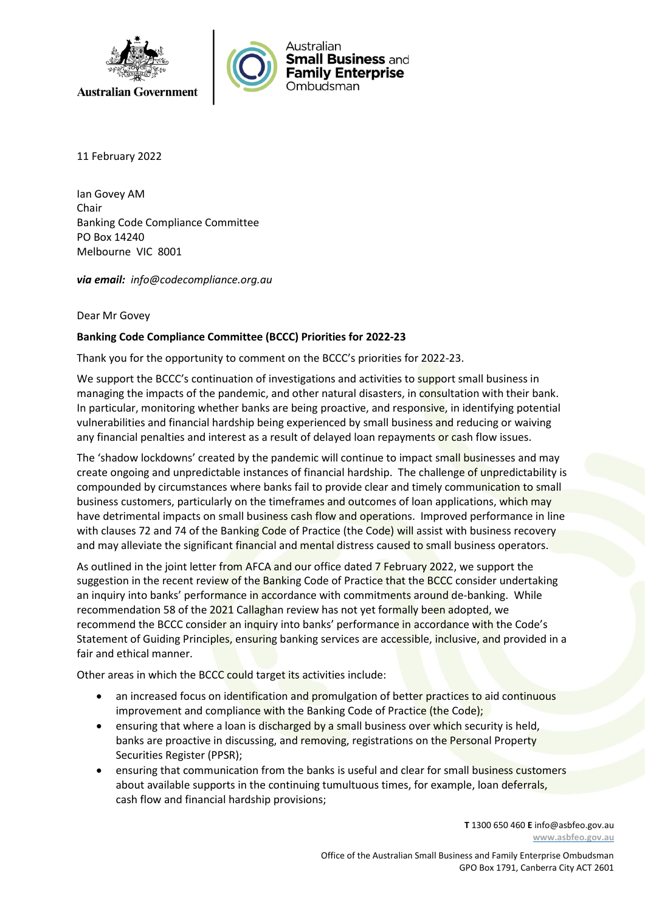



11 February 2022

Ian Govey AM Chair Banking Code Compliance Committee PO Box 14240 Melbourne VIC 8001

*via email: info@codecompliance.org.au*

## Dear Mr Govey

## **Banking Code Compliance Committee (BCCC) Priorities for 2022-23**

Thank you for the opportunity to comment on the BCCC's priorities for 2022-23.

We support the BCCC's continuation of investigations and activities to support small business in managing the impacts of the pandemic, and other natural disasters, in consultation with their bank. In particular, monitoring whether banks are being proactive, and responsive, in identifying potential vulnerabilities and financial hardship being experienced by small business and reducing or waiving any financial penalties and interest as a result of delayed loan repayments or cash flow issues.

The 'shadow lockdowns' created by the pandemic will continue to impact small businesses and may create ongoing and unpredictable instances of financial hardship. The challenge of unpredictability is compounded by circumstances where banks fail to provide clear and timely communication to small business customers, particularly on the timeframes and outcomes of loan applications, which may have detrimental impacts on small business cash flow and operations. Improved performance in line with clauses 72 and 74 of the Banking Code of Practice (the Code) will assist with business recovery and may alleviate the significant financial and mental distress caused to small business operators.

As outlined in the joint letter from AFCA and our office dated 7 February 2022, we support the suggestion in the recent review of the Banking Code of Practice that the BCCC consider undertaking an inquiry into banks' performance in accordance with commitments around de-banking. While recommendation 58 of the 2021 Callaghan review has not yet formally been adopted, we recommend the BCCC consider an inquiry into banks' performance in accordance with the Code's Statement of Guiding Principles, ensuring banking services are accessible, inclusive, and provided in a fair and ethical manner.

Other areas in which the BCCC could target its activities include:

- an increased focus on identification and promulgation of better practices to aid continuous improvement and compliance with the Banking Code of Practice (the Code);
- ensuring that where a loan is discharged by a small business over which security is held, banks are proactive in discussing, and removing, registrations on the Personal Property Securities Register (PPSR);
- ensuring that communication from the banks is useful and clear for small business customers about available supports in the continuing tumultuous times, for example, loan deferrals, cash flow and financial hardship provisions;